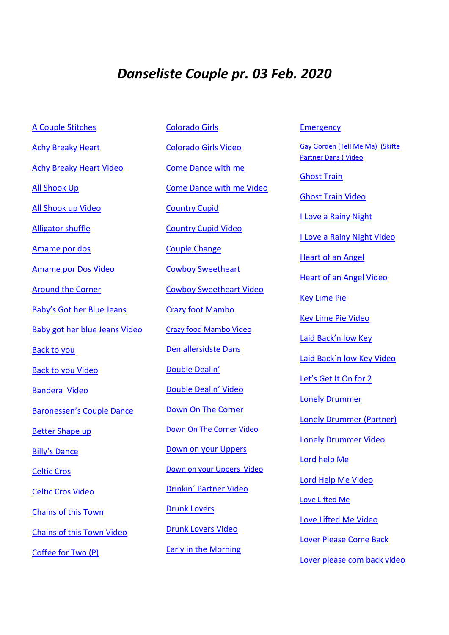## *Danseliste Couple pr. 03 Feb. 2020*

[Colorado Girls](https://www.mishnockbarn.com/step_sheets/colorado_girls_partners.pdf)

[A Couple](https://www.copperknob.co.uk/stepsheets/a-couple-stitches-p-ID116426.aspx) Stitches [Achy Breaky Heart](http://coupledance-storemerlose.dk/stepsheets%20i%20PDF/Achy%20Breaky%20Heart%20For%20Partners.pdf) [Achy Breaky Heart Video](https://www.youtube.com/watch?v=XEBpVZYZ2gI&feature=youtu.be) [All Shook Up](http://dirty-boots.dk/wp-content/uploads/2018/03/allskookup_partner.pdf) [All Shook up Video](https://www.youtube.com/watch?v=UiD4GVbxKC0&feature=share) [Alligator shuffle](https://www.copperknob.co.uk/stepsheets/alligator-shuffle-p-ID86693.aspx) [Amame por dos](https://www.copperknob.co.uk/stepsheets/amame-por-dos-p-ID80721.aspx) [Amame por Dos Video](https://youtu.be/G2CCOlQTB0o) [Around the Corner](https://www.copperknob.co.uk/stepsheets/around-the-corner-p-ID64296.aspx) [Baby's Got her Blue Jeans](https://www.copperknob.co.uk/stepsheets/babys-got-her-blue-jeans-for-couples-ID64599.aspx) [Baby got her blue Jeans](https://www.facebook.com/groups/602845113091520/permalink/2617222691653742/) Video [Back to you](https://webzoom.freewebs.com/alan-and-sonia/BENIDORM%202013%20SCRIPTS/Back%20To%20You.pdf) [Back to you](https://www.youtube.com/watch?v=gPL0JYRNUYo) Video [Bandera Video](https://www.copperknob.co.uk/stepsheets/bandera-p-ID95383.aspx) Baronessen's [Couple Dance](https://www.copperknob.co.uk/stepsheets/baronessens-couple-dance-p-ID88266.aspx) [Better Shape up](http://www.arjjazedance.free-online.co.uk/better_shape_up%20%5bp%5d.htm) [Billy's Dan](https://www.copperknob.co.uk/stepsheets/billys-dance-ID63282.aspx)ce [Celtic Cros](http://coupledance-storemerlose.dk/stepsheets%20i%20PDF/Celtic%20Cross.pdf) [Celtic Cros Video](https://www.youtube.com/watch?v=sNCwLb0GDfE) [Chains of this Town](https://www.copperknob.co.uk/stepsheets/chains-of-this-town-p-ID76103.aspx) [Chains of this Town Video](https://www.youtube.com/watch?v=yiUSb7RNmJE) [Coffee for Two \(P\)](https://www.copperknob.co.uk/stepsheets/coffee-for-two-p-ID59609.aspx)

[Colorado Girls Video](https://www.youtube.com/watch?v=WPx62tjtwEA) [Come Dance with me](http://coupledance-storemerlose.dk/stepsheets%20i%20PDF/Come%20Dance%20With%20Me.pdf) [Come Dance with me Video](https://www.youtube.com/watch?v=KEjGe0IQCeY) [Country Cupid](http://coupledance-storemerlose.dk/stepsheets%20i%20PDF/Country%20Cupid%20For%20Partners.pdf) [Country Cupid Video](https://www.youtube.com/watch?v=_trla_NM_Y8&feature=youtu.be) [Couple Change](https://www.copperknob.co.uk/stepsheets/couple-change-p-ID78725.aspx) [Cowboy Sweetheart](http://coupledance-storemerlose.dk/stepsheets%20i%20PDF/Cowboy%20sweetheart.pdf) [Cowboy Sweetheart Video](https://www.youtube.com/watch?v=lr4j_dOBEfw) [Crazy foot Mambo](http://coupledance-storemerlose.dk/stepsheets%20i%20PDF/Crazy%20foot%20mambo.pdf) [Crazy food Mambo Video](https://www.youtube.com/watch?v=iYKCkfuQBKY&feature=youtu.be) [Den allersidste Dans](https://www.copperknob.co.uk/stepsheets/den-allersidste-dans-for-2-p-ID106724.aspx) [Double Dealin'](http://dirty-boots.dk/wp-content/uploads/2018/03/Double-Dealin.pdf) [Double Dealin' Video](https://youtu.be/EHkgTXpdJ8U) [Down On The Corner](https://www.copperknob.co.uk/stepsheets/down-on-the-corner-42-ID56804.aspx) [Down On The Corner Video](https://www.youtube.com/watch?v=Q8665tLGrJY) [Down on your Uppers](http://coupledance-storemerlose.dk/stepsheets%20i%20PDF/Down%20On%20Your%20Uppers%20For%20Partners.pdf) [Down on your Uppers Video](https://www.youtube.com/watch?v=0QwhazEhTvw) [Drinkin´](https://www.copperknob.co.uk/stepsheets/drinkin-partners-p-ID86668.aspx) Partner Video [Drunk Lovers](http://dirty-boots.dk/wp-content/uploads/2018/03/Drunk-Lovers.pdf) [Drunk Lovers](https://www.youtube.com/watch?v=80vxtkcl_yI) Video [Early in the Morning](http://coupledance-storemerlose.dk/stepsheets%20i%20PDF/Early%20In%20The%20Morning%20For%20Partners.pdf)

**[Emergency](https://www.copperknob.co.uk/stepsheets/emergency-2-partner-p-ID117328.aspx)** 

[Gay Gorden \(Tell Me Ma\) \(Skifte](https://www.youtube.com/watch?v=7nYJJG_HQCY&feature=youtu.be)  [Partner Dans \) Video](https://www.youtube.com/watch?v=7nYJJG_HQCY&feature=youtu.be)

[Ghost Train](http://coupledance-storemerlose.dk/stepsheets%20i%20PDF/Ghost%20Train.pdf) [Ghost Train Video](https://www.youtube.com/watch?v=HDH97PS4diY&feature=youtu.be) [I Love a Rainy Night](http://webzoom.freewebs.com/alan-and-sonia/PARTNER%20DANCE%20SCRIPTS/I%20Love%20A%20Rainy%20Night.doc) [I Love a Rainy Night Video](https://youtu.be/bhmmZZMDaH4) Heart of an [Angel](https://www.copperknob.co.uk/stepsheets/heart-of-an-angel-for-2-ID52716.aspx) [Heart of an Angel Video](https://www.youtube.com/watch?v=eXqrArGnU2I&feature=share&list=PLFCB3DF53DBC5A441&index=3) [Key Lime Pie](https://www.copperknob.co.uk/stepsheets/key-lime-pie-for-two-p-ID131798.aspx) [Key Lime Pie Video](https://www.youtube.com/watch?v=g_CELW9zldE&feature=share) [Laid Back'n low Key](http://dirty-boots.dk/wp-content/uploads/2018/03/Laid-Backn-Low-Key.pdf) [Laid Back´n low Key](https://www.youtube.com/watch?v=hg-eoCR-LzA) Video [Let's Get It On for 2](https://www.copperknob.co.uk/stepsheets/lets-get-it-on-for-2-p-ID107239.aspx) [Lonely Drummer](https://www.copperknob.co.uk/stepsheets/lonely-drummer-p-ID121191.aspx) [Lonely Drummer \(Partner\)](http://coupledance-storemerlose.dk/stepsheets%20i%20PDF/Lonely%20Drummer%20partners.pdf) [Lonely Drummer Video](https://www.youtube.com/watch?v=9a3G9vyujwE&feature=youtu.be) [Lord help Me](http://coupledance-storemerlose.dk/stepsheets%20i%20PDF/Lord%20Help%20Me%20For%20Partners.pdf) [Lord Help Me Video](https://www.youtube.com/watch?v=Wv_N8aOLiIc) [Love Lifted Me](http://dirty-boots.dk/wp-content/uploads/2018/03/LoveLiftedMe.pdf) [Love Lifted Me](https://www.youtube.com/watch?v=hLItAgLjDFI) Video [Lover Please Come Back](http://coupledance-storemerlose.dk/stepsheets%20i%20PDF/Lover%20Please%20Come%20Back.pdf) [Lover please com back video](https://www.youtube.com/watch?v=3egAwFH2pWU)